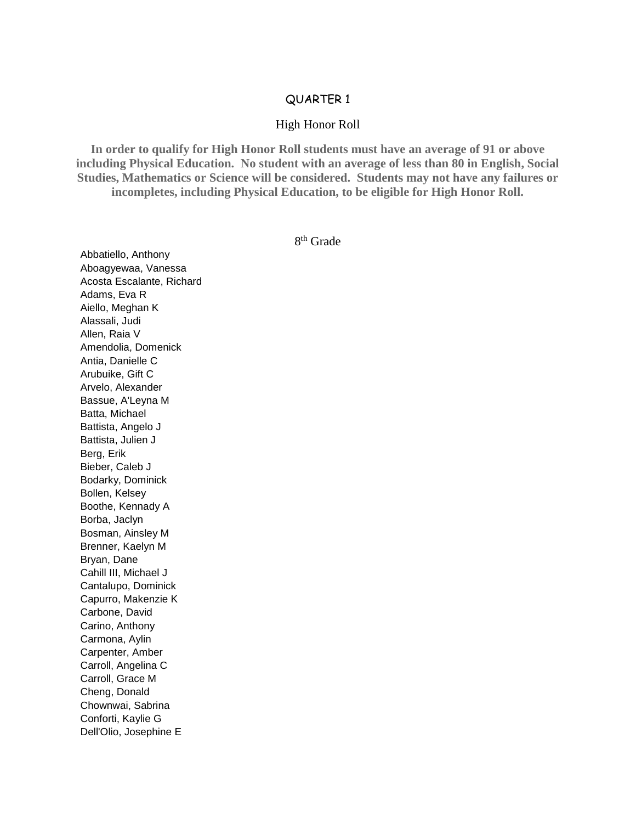## QUARTER 1

## High Honor Roll

**In order to qualify for High Honor Roll students must have an average of 91 or above including Physical Education. No student with an average of less than 80 in English, Social Studies, Mathematics or Science will be considered. Students may not have any failures or incompletes, including Physical Education, to be eligible for High Honor Roll.**

8 th Grade

Abbatiello, Anthony Aboagyewaa, Vanessa Acosta Escalante, Richard Adams, Eva R Aiello, Meghan K Alassali, Judi Allen, Raia V Amendolia, Domenick Antia, Danielle C Arubuike, Gift C Arvelo, Alexander Bassue, A'Leyna M Batta, Michael Battista, Angelo J Battista, Julien J Berg, Erik Bieber, Caleb J Bodarky, Dominick Bollen, Kelsey Boothe, Kennady A Borba, Jaclyn Bosman, Ainsley M Brenner, Kaelyn M Bryan, Dane Cahill III, Michael J Cantalupo, Dominick Capurro, Makenzie K Carbone, David Carino, Anthony Carmona, Aylin Carpenter, Amber Carroll, Angelina C Carroll, Grace M Cheng, Donald Chownwai, Sabrina Conforti, Kaylie G Dell'Olio, Josephine E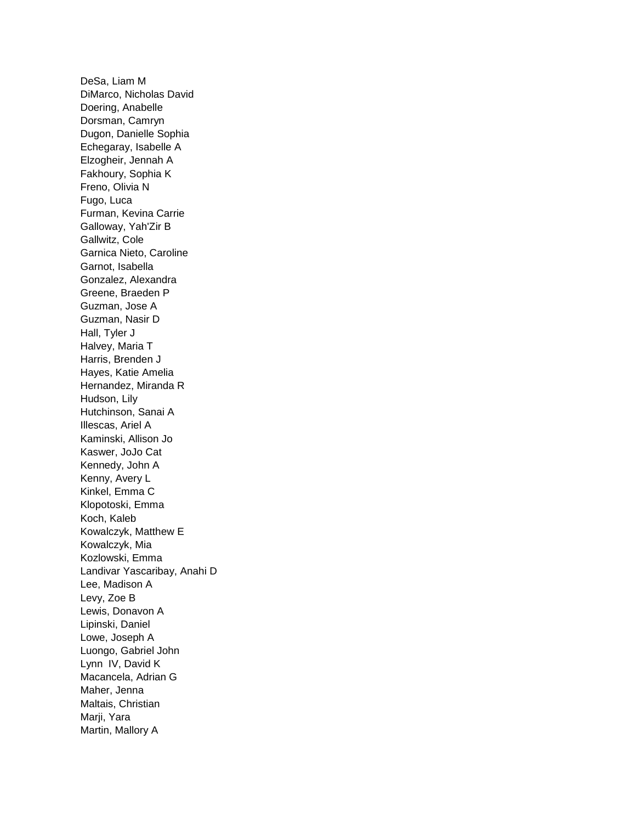DeSa, Liam M DiMarco, Nicholas David Doering, Anabelle Dorsman, Camryn Dugon, Danielle Sophia Echegaray, Isabelle A Elzogheir, Jennah A Fakhoury, Sophia K Freno, Olivia N Fugo, Luca Furman, Kevina Carrie Galloway, Yah'Zir B Gallwitz, Cole Garnica Nieto, Caroline Garnot, Isabella Gonzalez, Alexandra Greene, Braeden P Guzman, Jose A Guzman, Nasir D Hall, Tyler J Halvey, Maria T Harris, Brenden J Hayes, Katie Amelia Hernandez, Miranda R Hudson, Lily Hutchinson, Sanai A Illescas, Ariel A Kaminski, Allison Jo Kaswer, JoJo Cat Kennedy, John A Kenny, Avery L Kinkel, Emma C Klopotoski, Emma Koch, Kaleb Kowalczyk, Matthew E Kowalczyk, Mia Kozlowski, Emma Landivar Yascaribay, Anahi D Lee, Madison A Levy, Zoe B Lewis, Donavon A Lipinski, Daniel Lowe, Joseph A Luongo, Gabriel John Lynn IV, David K Macancela, Adrian G Maher, Jenna Maltais, Christian Marji, Yara Martin, Mallory A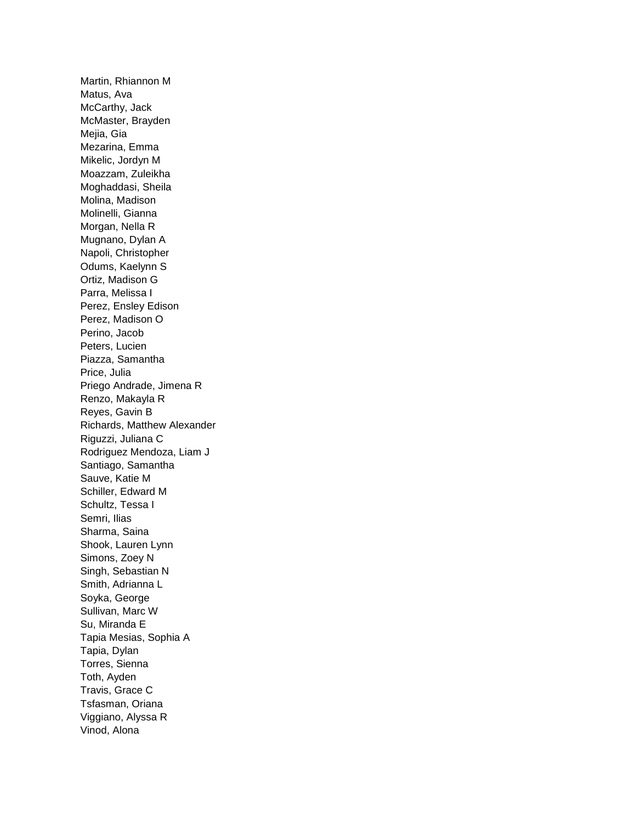Martin, Rhiannon M Matus, Ava McCarthy, Jack McMaster, Brayden Mejia, Gia Mezarina, Emma Mikelic, Jordyn M Moazzam, Zuleikha Moghaddasi, Sheila Molina, Madison Molinelli, Gianna Morgan, Nella R Mugnano, Dylan A Napoli, Christopher Odums, Kaelynn S Ortiz, Madison G Parra, Melissa I Perez, Ensley Edison Perez, Madison O Perino, Jacob Peters, Lucien Piazza, Samantha Price, Julia Priego Andrade, Jimena R Renzo, Makayla R Reyes, Gavin B Richards, Matthew Alexander Riguzzi, Juliana C Rodriguez Mendoza, Liam J Santiago, Samantha Sauve, Katie M Schiller, Edward M Schultz, Tessa I Semri, Ilias Sharma, Saina Shook, Lauren Lynn Simons, Zoey N Singh, Sebastian N Smith, Adrianna L Soyka, George Sullivan, Marc W Su, Miranda E Tapia Mesias, Sophia A Tapia, Dylan Torres, Sienna Toth, Ayden Travis, Grace C Tsfasman, Oriana Viggiano, Alyssa R Vinod, Alona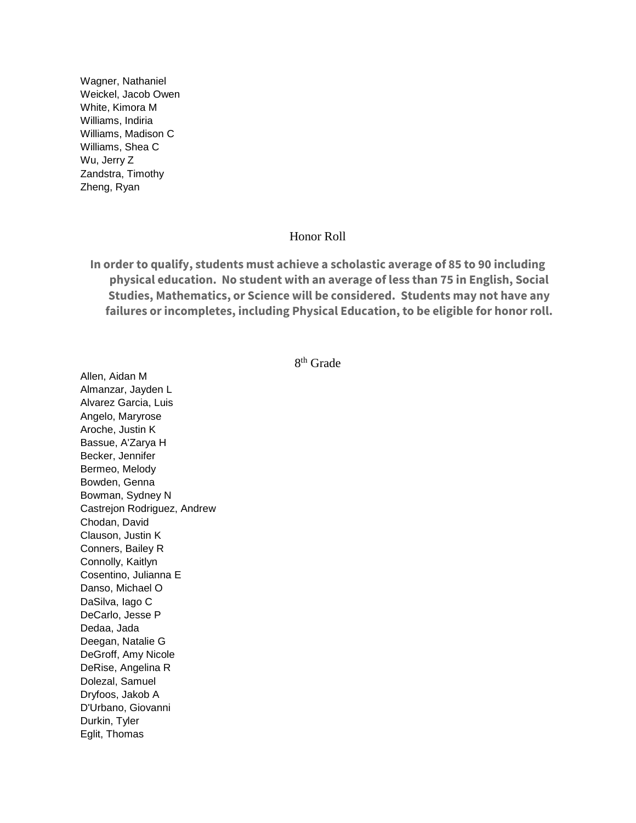Wagner, Nathaniel Weickel, Jacob Owen White, Kimora M Williams, Indiria Williams, Madison C Williams, Shea C Wu, Jerry Z Zandstra, Timothy Zheng, Ryan

## Honor Roll

**In order to qualify, students must achieve a scholastic average of 85 to 90 including physical education. No student with an average of less than 75 in English, Social Studies, Mathematics, or Science will be considered. Students may not have any failures or incompletes, including Physical Education, to be eligible for honor roll.**

## 8 th Grade

Allen, Aidan M Almanzar, Jayden L Alvarez Garcia, Luis Angelo, Maryrose Aroche, Justin K Bassue, A'Zarya H Becker, Jennifer Bermeo, Melody Bowden, Genna Bowman, Sydney N Castrejon Rodriguez, Andrew Chodan, David Clauson, Justin K Conners, Bailey R Connolly, Kaitlyn Cosentino, Julianna E Danso, Michael O DaSilva, Iago C DeCarlo, Jesse P Dedaa, Jada Deegan, Natalie G DeGroff, Amy Nicole DeRise, Angelina R Dolezal, Samuel Dryfoos, Jakob A D'Urbano, Giovanni Durkin, Tyler Eglit, Thomas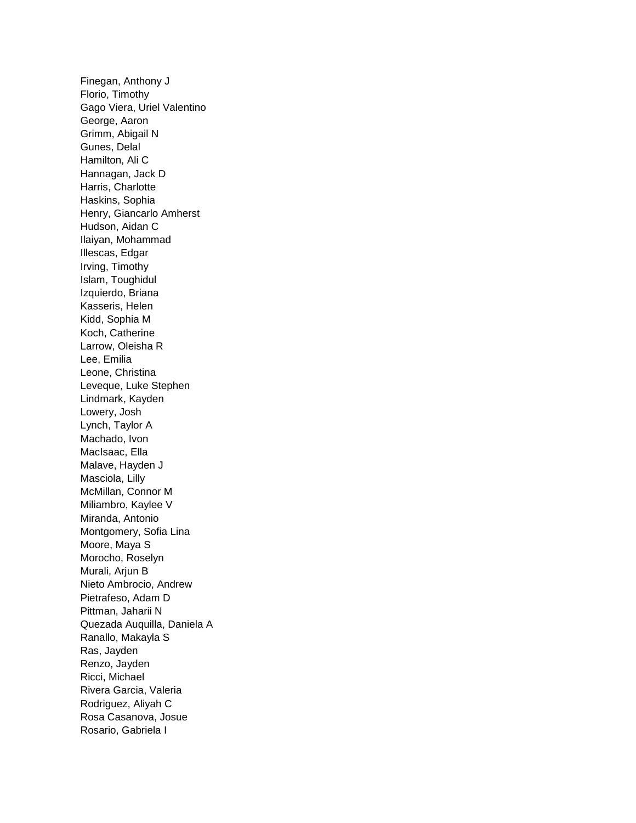Finegan, Anthony J Florio, Timothy Gago Viera, Uriel Valentino George, Aaron Grimm, Abigail N Gunes, Delal Hamilton, Ali C Hannagan, Jack D Harris, Charlotte Haskins, Sophia Henry, Giancarlo Amherst Hudson, Aidan C Ilaiyan, Mohammad Illescas, Edgar Irving, Timothy Islam, Toughidul Izquierdo, Briana Kasseris, Helen Kidd, Sophia M Koch, Catherine Larrow, Oleisha R Lee, Emilia Leone, Christina Leveque, Luke Stephen Lindmark, Kayden Lowery, Josh Lynch, Taylor A Machado, Ivon MacIsaac, Ella Malave, Hayden J Masciola, Lilly McMillan, Connor M Miliambro, Kaylee V Miranda, Antonio Montgomery, Sofia Lina Moore, Maya S Morocho, Roselyn Murali, Arjun B Nieto Ambrocio, Andrew Pietrafeso, Adam D Pittman, Jaharii N Quezada Auquilla, Daniela A Ranallo, Makayla S Ras, Jayden Renzo, Jayden Ricci, Michael Rivera Garcia, Valeria Rodriguez, Aliyah C Rosa Casanova, Josue Rosario, Gabriela I